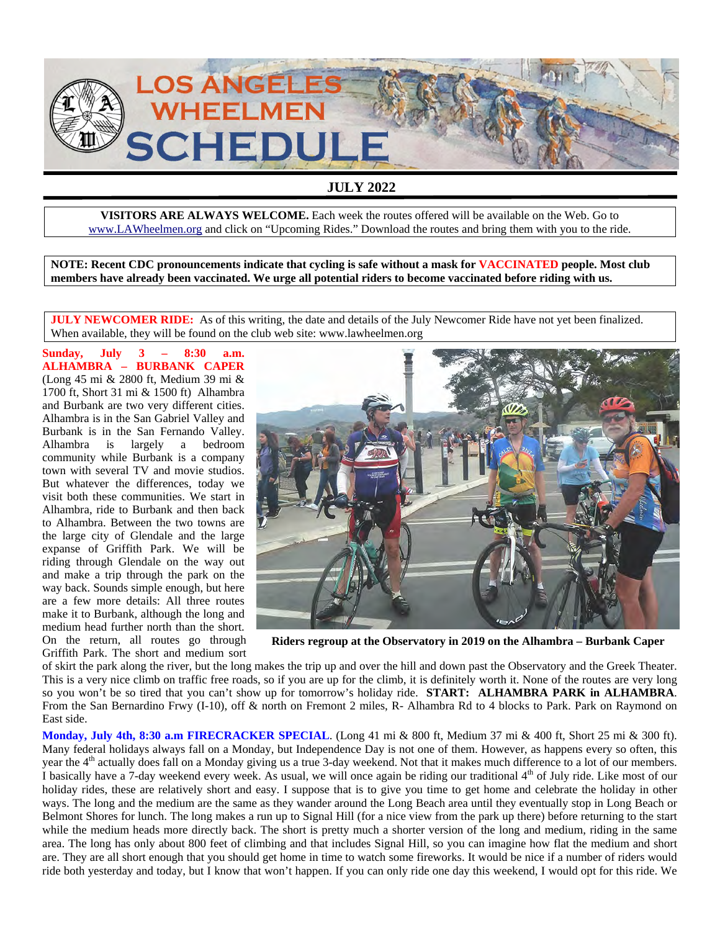

## **JULY 2022**

**VISITORS ARE ALWAYS WELCOME.** Each week the routes offered will be available on the Web. Go to www.LAWheelmen.org and click on "Upcoming Rides." Download the routes and bring them with you to the ride.

**NOTE: Recent CDC pronouncements indicate that cycling is safe without a mask for VACCINATED people. Most club members have already been vaccinated. We urge all potential riders to become vaccinated before riding with us.** 

**JULY NEWCOMER RIDE:** As of this writing, the date and details of the July Newcomer Ride have not yet been finalized. When available, they will be found on the club web site: www.lawheelmen.org

**Sunday, July 3 – 8:30 a.m. ALHAMBRA – BURBANK CAPER** (Long 45 mi & 2800 ft, Medium 39 mi & 1700 ft, Short 31 mi & 1500 ft) Alhambra and Burbank are two very different cities. Alhambra is in the San Gabriel Valley and Burbank is in the San Fernando Valley. Alhambra is largely a bedroom community while Burbank is a company town with several TV and movie studios. But whatever the differences, today we visit both these communities. We start in Alhambra, ride to Burbank and then back to Alhambra. Between the two towns are the large city of Glendale and the large expanse of Griffith Park. We will be riding through Glendale on the way out and make a trip through the park on the way back. Sounds simple enough, but here are a few more details: All three routes make it to Burbank, although the long and medium head further north than the short. On the return, all routes go through Griffith Park. The short and medium sort



**Riders regroup at the Observatory in 2019 on the Alhambra – Burbank Caper** 

of skirt the park along the river, but the long makes the trip up and over the hill and down past the Observatory and the Greek Theater. This is a very nice climb on traffic free roads, so if you are up for the climb, it is definitely worth it. None of the routes are very long so you won't be so tired that you can't show up for tomorrow's holiday ride. **START: ALHAMBRA PARK in ALHAMBRA**. From the San Bernardino Frwy (I-10), off & north on Fremont 2 miles, R- Alhambra Rd to 4 blocks to Park. Park on Raymond on East side.

**Monday, July 4th, 8:30 a.m FIRECRACKER SPECIAL**. (Long 41 mi & 800 ft, Medium 37 mi & 400 ft, Short 25 mi & 300 ft). Many federal holidays always fall on a Monday, but Independence Day is not one of them. However, as happens every so often, this year the 4<sup>th</sup> actually does fall on a Monday giving us a true 3-day weekend. Not that it makes much difference to a lot of our members. I basically have a 7-day weekend every week. As usual, we will once again be riding our traditional  $4<sup>th</sup>$  of July ride. Like most of our holiday rides, these are relatively short and easy. I suppose that is to give you time to get home and celebrate the holiday in other ways. The long and the medium are the same as they wander around the Long Beach area until they eventually stop in Long Beach or Belmont Shores for lunch. The long makes a run up to Signal Hill (for a nice view from the park up there) before returning to the start while the medium heads more directly back. The short is pretty much a shorter version of the long and medium, riding in the same area. The long has only about 800 feet of climbing and that includes Signal Hill, so you can imagine how flat the medium and short are. They are all short enough that you should get home in time to watch some fireworks. It would be nice if a number of riders would ride both yesterday and today, but I know that won't happen. If you can only ride one day this weekend, I would opt for this ride. We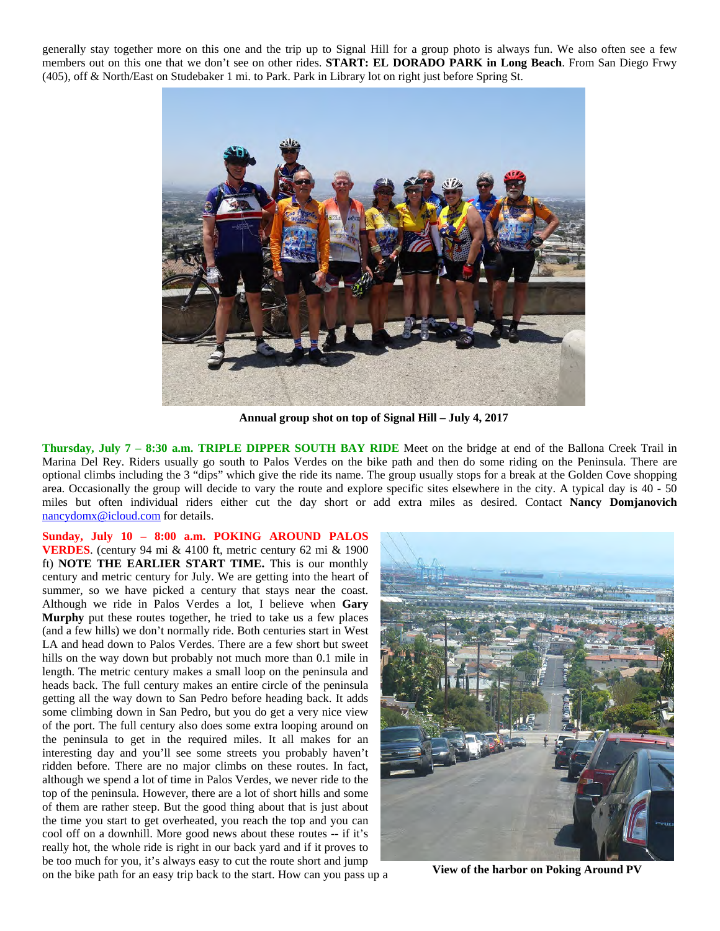generally stay together more on this one and the trip up to Signal Hill for a group photo is always fun. We also often see a few members out on this one that we don't see on other rides. **START: EL DORADO PARK in Long Beach**. From San Diego Frwy (405), off & North/East on Studebaker 1 mi. to Park. Park in Library lot on right just before Spring St.



**Annual group shot on top of Signal Hill – July 4, 2017** 

**Thursday, July 7 – 8:30 a.m. TRIPLE DIPPER SOUTH BAY RIDE** Meet on the bridge at end of the Ballona Creek Trail in Marina Del Rey. Riders usually go south to Palos Verdes on the bike path and then do some riding on the Peninsula. There are optional climbs including the 3 "dips" which give the ride its name. The group usually stops for a break at the Golden Cove shopping area. Occasionally the group will decide to vary the route and explore specific sites elsewhere in the city. A typical day is 40 - 50 miles but often individual riders either cut the day short or add extra miles as desired. Contact **Nancy Domjanovich** nancydomx@icloud.com for details.

**Sunday, July 10 – 8:00 a.m. POKING AROUND PALOS VERDES**. (century 94 mi & 4100 ft, metric century 62 mi & 1900 ft) **NOTE THE EARLIER START TIME.** This is our monthly century and metric century for July. We are getting into the heart of summer, so we have picked a century that stays near the coast. Although we ride in Palos Verdes a lot, I believe when **Gary Murphy** put these routes together, he tried to take us a few places (and a few hills) we don't normally ride. Both centuries start in West LA and head down to Palos Verdes. There are a few short but sweet hills on the way down but probably not much more than 0.1 mile in length. The metric century makes a small loop on the peninsula and heads back. The full century makes an entire circle of the peninsula getting all the way down to San Pedro before heading back. It adds some climbing down in San Pedro, but you do get a very nice view of the port. The full century also does some extra looping around on the peninsula to get in the required miles. It all makes for an interesting day and you'll see some streets you probably haven't ridden before. There are no major climbs on these routes. In fact, although we spend a lot of time in Palos Verdes, we never ride to the top of the peninsula. However, there are a lot of short hills and some of them are rather steep. But the good thing about that is just about the time you start to get overheated, you reach the top and you can cool off on a downhill. More good news about these routes -- if it's really hot, the whole ride is right in our back yard and if it proves to be too much for you, it's always easy to cut the route short and jump on the bike path for an easy trip back to the start. How can you pass up a



**View of the harbor on Poking Around PV**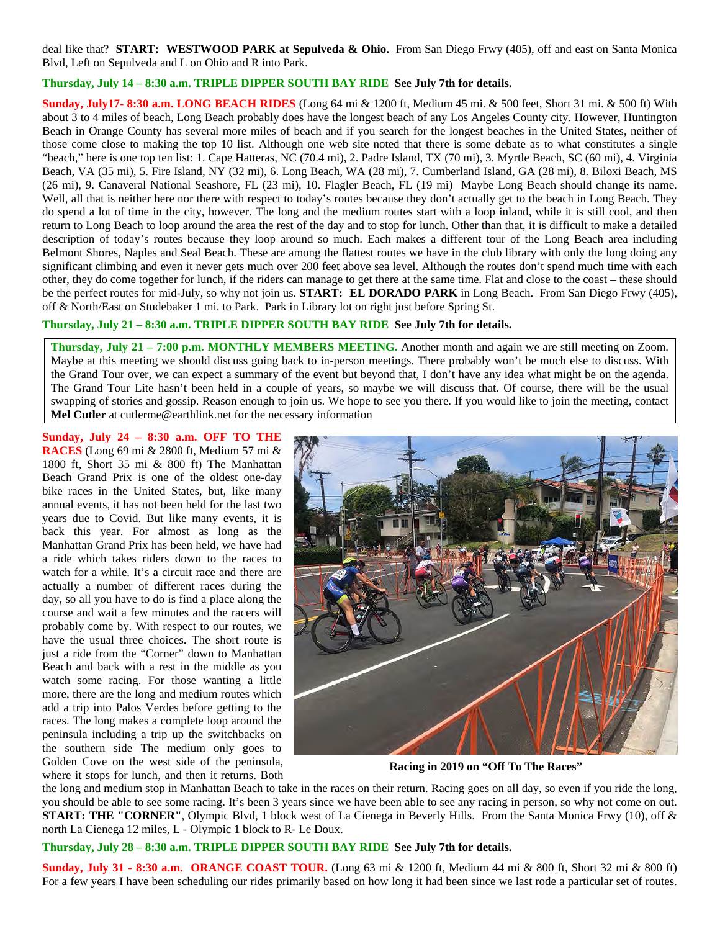deal like that? **START: WESTWOOD PARK at Sepulveda & Ohio.** From San Diego Frwy (405), off and east on Santa Monica Blvd, Left on Sepulveda and L on Ohio and R into Park.

## **Thursday, July 14 – 8:30 a.m. TRIPLE DIPPER SOUTH BAY RIDE See July 7th for details.**

**Sunday, July17- 8:30 a.m. LONG BEACH RIDES** (Long 64 mi & 1200 ft, Medium 45 mi. & 500 feet, Short 31 mi. & 500 ft) With about 3 to 4 miles of beach, Long Beach probably does have the longest beach of any Los Angeles County city. However, Huntington Beach in Orange County has several more miles of beach and if you search for the longest beaches in the United States, neither of those come close to making the top 10 list. Although one web site noted that there is some debate as to what constitutes a single "beach," here is one top ten list: 1. Cape Hatteras, NC (70.4 mi), 2. Padre Island, TX (70 mi), 3. Myrtle Beach, SC (60 mi), 4. Virginia Beach, VA (35 mi), 5. Fire Island, NY (32 mi), 6. Long Beach, WA (28 mi), 7. Cumberland Island, GA (28 mi), 8. Biloxi Beach, MS (26 mi), 9. Canaveral National Seashore, FL (23 mi), 10. Flagler Beach, FL (19 mi) Maybe Long Beach should change its name. Well, all that is neither here nor there with respect to today's routes because they don't actually get to the beach in Long Beach. They do spend a lot of time in the city, however. The long and the medium routes start with a loop inland, while it is still cool, and then return to Long Beach to loop around the area the rest of the day and to stop for lunch. Other than that, it is difficult to make a detailed description of today's routes because they loop around so much. Each makes a different tour of the Long Beach area including Belmont Shores, Naples and Seal Beach. These are among the flattest routes we have in the club library with only the long doing any significant climbing and even it never gets much over 200 feet above sea level. Although the routes don't spend much time with each other, they do come together for lunch, if the riders can manage to get there at the same time. Flat and close to the coast – these should be the perfect routes for mid-July, so why not join us. **START: EL DORADO PARK** in Long Beach. From San Diego Frwy (405), off & North/East on Studebaker 1 mi. to Park. Park in Library lot on right just before Spring St.

## **Thursday, July 21 – 8:30 a.m. TRIPLE DIPPER SOUTH BAY RIDE See July 7th for details.**

**Thursday, July 21 – 7:00 p.m. MONTHLY MEMBERS MEETING.** Another month and again we are still meeting on Zoom. Maybe at this meeting we should discuss going back to in-person meetings. There probably won't be much else to discuss. With the Grand Tour over, we can expect a summary of the event but beyond that, I don't have any idea what might be on the agenda. The Grand Tour Lite hasn't been held in a couple of years, so maybe we will discuss that. Of course, there will be the usual swapping of stories and gossip. Reason enough to join us. We hope to see you there. If you would like to join the meeting, contact **Mel Cutler** at cutlerme@earthlink.net for the necessary information

**Sunday, July 24 – 8:30 a.m. OFF TO THE RACES** (Long 69 mi & 2800 ft, Medium 57 mi & 1800 ft, Short 35 mi & 800 ft) The Manhattan Beach Grand Prix is one of the oldest one-day bike races in the United States, but, like many annual events, it has not been held for the last two years due to Covid. But like many events, it is back this year. For almost as long as the Manhattan Grand Prix has been held, we have had a ride which takes riders down to the races to watch for a while. It's a circuit race and there are actually a number of different races during the day, so all you have to do is find a place along the course and wait a few minutes and the racers will probably come by. With respect to our routes, we have the usual three choices. The short route is just a ride from the "Corner" down to Manhattan Beach and back with a rest in the middle as you watch some racing. For those wanting a little more, there are the long and medium routes which add a trip into Palos Verdes before getting to the races. The long makes a complete loop around the peninsula including a trip up the switchbacks on the southern side The medium only goes to Golden Cove on the west side of the peninsula, where it stops for lunch, and then it returns. Both



**Racing in 2019 on "Off To The Races"** 

the long and medium stop in Manhattan Beach to take in the races on their return. Racing goes on all day, so even if you ride the long, you should be able to see some racing. It's been 3 years since we have been able to see any racing in person, so why not come on out. **START: THE "CORNER"**, Olympic Blvd, 1 block west of La Cienega in Beverly Hills. From the Santa Monica Frwy (10), off & north La Cienega 12 miles, L - Olympic 1 block to R- Le Doux.

## **Thursday, July 28 – 8:30 a.m. TRIPLE DIPPER SOUTH BAY RIDE See July 7th for details.**

**Sunday, July 31 - 8:30 a.m. ORANGE COAST TOUR.** (Long 63 mi & 1200 ft, Medium 44 mi & 800 ft, Short 32 mi & 800 ft) For a few years I have been scheduling our rides primarily based on how long it had been since we last rode a particular set of routes.